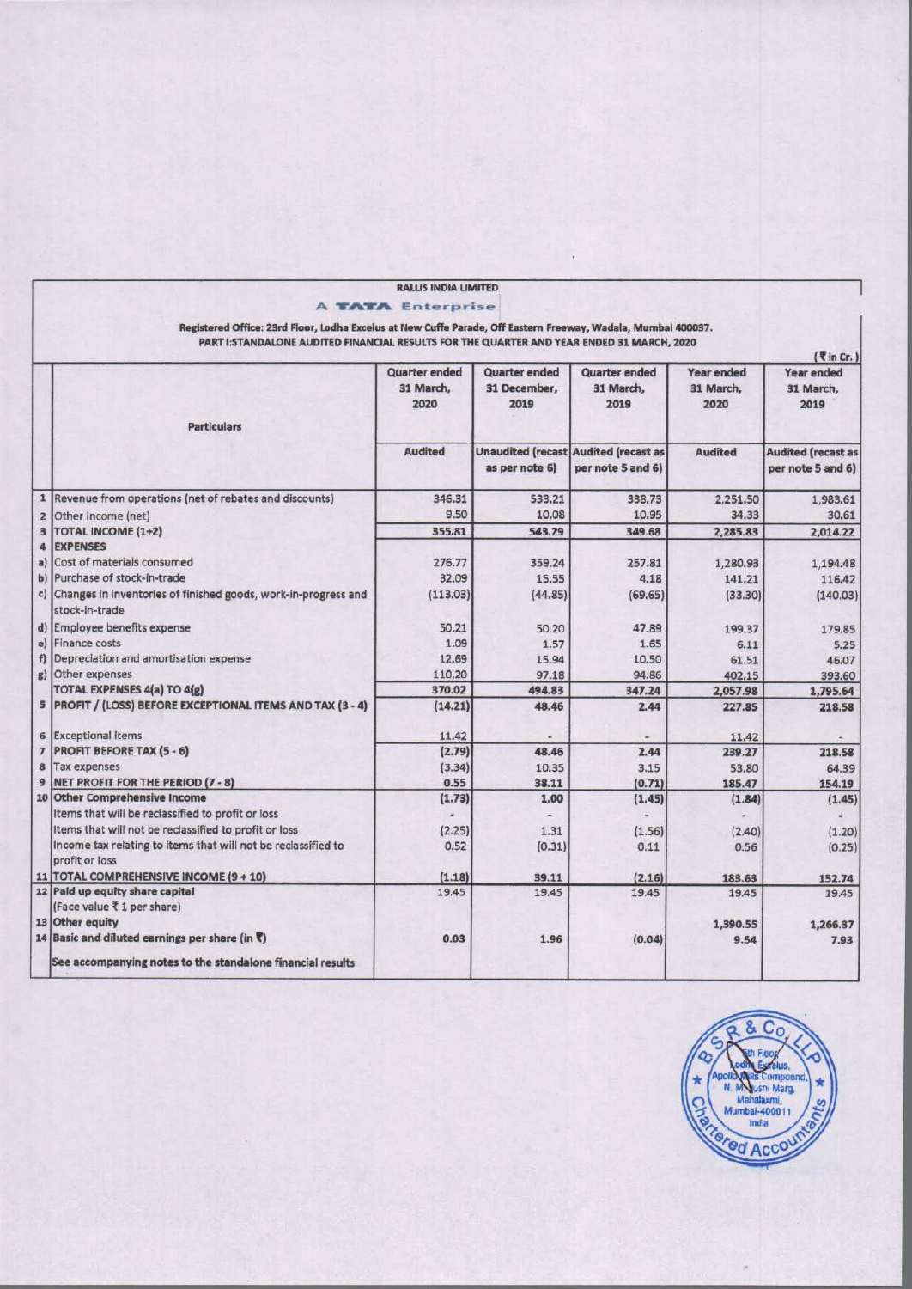|                                                                                                                                                                                                            | <b>RALLIS INDIA LIMITED</b> |                      |                                             |                   |                           |
|------------------------------------------------------------------------------------------------------------------------------------------------------------------------------------------------------------|-----------------------------|----------------------|---------------------------------------------|-------------------|---------------------------|
|                                                                                                                                                                                                            | <b>A TATA Enterprise</b>    |                      |                                             |                   |                           |
|                                                                                                                                                                                                            |                             |                      |                                             |                   |                           |
| Registered Office: 23rd Floor, Lodha Excelus at New Cuffe Parade, Off Eastern Freeway, Wadala, Mumbai 400037.<br>PART I:STANDALONE AUDITED FINANCIAL RESULTS FOR THE QUARTER AND YEAR ENDED 31 MARCH, 2020 |                             |                      |                                             |                   |                           |
|                                                                                                                                                                                                            |                             |                      |                                             |                   | $($ \left in Cr. )        |
|                                                                                                                                                                                                            | Quarter ended               | <b>Quarter ended</b> | Quarter ended                               | <b>Year ended</b> | Year ended                |
|                                                                                                                                                                                                            | 31 March,                   | 31 December,         | 31 March,                                   | 31 March,         | 31 March,                 |
|                                                                                                                                                                                                            | 2020                        | 2019                 | 2019                                        | 2020              | 2019                      |
| <b>Particulars</b>                                                                                                                                                                                         |                             |                      |                                             |                   |                           |
|                                                                                                                                                                                                            | <b>Audited</b>              |                      | <b>Unaudited (recast Audited (recast as</b> | <b>Audited</b>    | <b>Audited (recast as</b> |
|                                                                                                                                                                                                            |                             | as per note 6)       | per note 5 and 6)                           |                   | per note 5 and 6)         |
| 1  Revenue from operations (net of rebates and discounts)                                                                                                                                                  | 346.31                      | 533.21               | 338.73                                      | 2,251.50          | 1,983.61                  |
| 2 Other income (net)                                                                                                                                                                                       | 9.50                        | 10.08                | 10.95                                       | 34.33             | 30.61                     |
| 3  TOTAL INCOME (1+2)                                                                                                                                                                                      | 355.81                      | 543.29               | 349.68                                      | 2,285.83          | 2,014.22                  |
| 4 EXPENSES                                                                                                                                                                                                 |                             |                      |                                             |                   |                           |
| a) Cost of materials consumed                                                                                                                                                                              | 276.77                      | 359.24               | 257.81                                      | 1,280.93          | 1,194.48                  |
| b) Purchase of stock-in-trade                                                                                                                                                                              | 32.09                       | 15.55                | 4.18                                        | 141.21            | 116.42                    |
| c) Changes in inventories of finished goods, work-in-progress and<br>stock-in-trade                                                                                                                        | (113.03)                    | (44.85)              | (69.65)                                     | (33.30)           | (140.03)                  |
| d) Employee benefits expense                                                                                                                                                                               | 50.21                       | 50.20                | 47.89                                       | 199.37            | 179.85                    |
| e) Finance costs                                                                                                                                                                                           | 1.09                        | 1.57                 | 1.65                                        | 6.11              | 5.25                      |
| f) Depreciation and amortisation expense                                                                                                                                                                   | 12.69                       | 15.94                | 10.50                                       | 61.51             | 46.07                     |
| g) Other expenses                                                                                                                                                                                          | 110.20                      | 97.18                | 94.86                                       | 402.15            | 393.60                    |
| <b>TOTAL EXPENSES 4(a) TO 4(g)</b>                                                                                                                                                                         | 370.02                      | 494.83               | 347.24                                      | 2,057.98          | 1,795.64                  |
| 5   PROFIT / (LOSS) BEFORE EXCEPTIONAL ITEMS AND TAX (3 - 4)                                                                                                                                               | (14.21)                     | 48.46                | 2.44                                        | 227.85            | 218.58                    |
| 6 Exceptional Items                                                                                                                                                                                        | 11.42                       |                      |                                             | 11.42             |                           |
| 7   PROFIT BEFORE TAX (5 - 6)                                                                                                                                                                              | (2.79)                      | 48.46                | 2.44                                        | 239.27            | 218.58                    |
| 8 Tax expenses                                                                                                                                                                                             | (3.34)                      | 10.35                | 3.15                                        | 53.80             | 64.39                     |
| 9 NET PROFIT FOR THE PERIOD (7 - 8)                                                                                                                                                                        | 0.55                        | 38.11                | (0.71)                                      | 185.47            | 154.19                    |
| 10 Other Comprehensive Income                                                                                                                                                                              | (1.73)                      | 1.00                 | (1.45)                                      | (1.84)            | (1.45)                    |
| Items that will be reclassified to profit or loss                                                                                                                                                          |                             |                      |                                             |                   |                           |
| Items that will not be reclassified to profit or loss                                                                                                                                                      | (2.25)                      | 1.31                 | (1.56)                                      | (2.40)            | (1.20)                    |
| Income tax relating to items that will not be reclassified to<br>profit or loss                                                                                                                            | 0.52                        | (0.31)               | 0.11                                        | 0.56              | (0.25)                    |
| 11   TOTAL COMPREHENSIVE INCOME (9 + 10)                                                                                                                                                                   | (1.18)                      | 39.11                | (2.16)                                      | 183.63            | 152.74                    |
| 12 Paid up equity share capital                                                                                                                                                                            | 19.45                       | 19.45                | 19.45                                       | 19.45             | 19.45                     |
| (Face value ₹ 1 per share)                                                                                                                                                                                 |                             |                      |                                             |                   |                           |
| 13 Other equity                                                                                                                                                                                            |                             |                      |                                             | 1,390.55          | 1,266.37                  |
| 14 Basic and diluted earnings per share (in $\ell$ )                                                                                                                                                       | 0.03                        | 1.96                 | (0.04)                                      | 9.54              | 7.93                      |
| See accompanying notes to the standalone financial results                                                                                                                                                 |                             |                      |                                             |                   |                           |

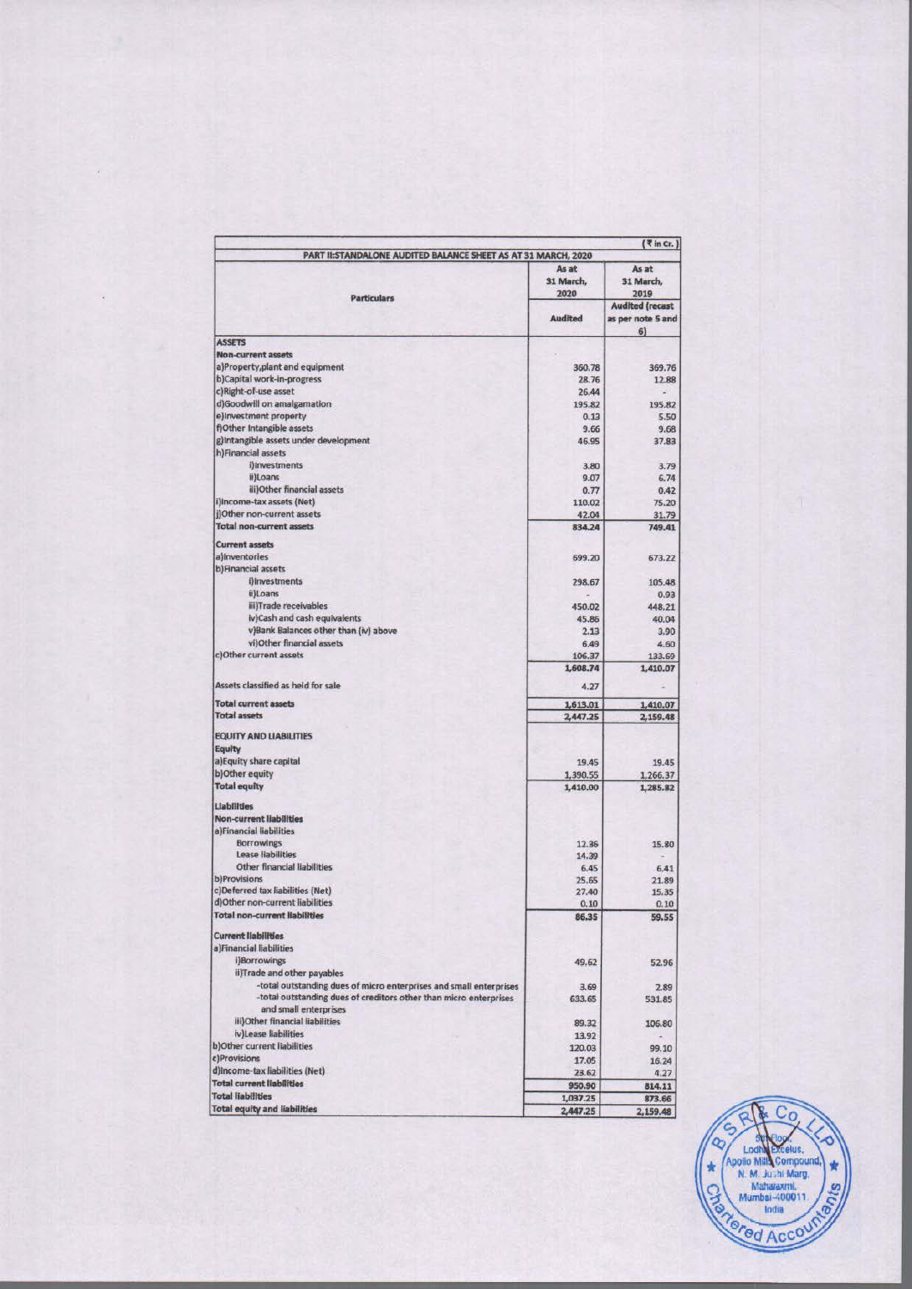| PART II:STANDALONE AUDITED BALANCE SHEET AS AT 31 MARCH, 2020                              |                            | $($ \text{in Cr. $)$                              |  |
|--------------------------------------------------------------------------------------------|----------------------------|---------------------------------------------------|--|
|                                                                                            | As at<br>31 March,<br>2020 | As at<br>31 March,<br>2019                        |  |
| <b>Particulars</b>                                                                         | <b>Audited</b>             | <b>Audited (recast</b><br>as per note 5 and<br>6) |  |
| <b>ASSETS</b>                                                                              |                            |                                                   |  |
| <b>Non-current assets</b>                                                                  |                            |                                                   |  |
| a)Property,plant and equipment                                                             | 360,78                     | 369.76                                            |  |
| b)Capital work-in-progress                                                                 | 28.76                      | 12.88                                             |  |
| c)Right-of-use asset<br>d)Goodwill on amalgamation                                         | 26.44                      |                                                   |  |
| e)Investment property                                                                      | 195.82<br>0.13             | 195.82<br>5.50                                    |  |
| f)Other Intangible assets                                                                  | 9.66                       | 9.68                                              |  |
| g)Intangible assets under development                                                      | 46.95                      | 37.83                                             |  |
| h)Financial assets                                                                         |                            |                                                   |  |
| i)Investments                                                                              | 3.80                       | 3.79                                              |  |
| ii)Loans                                                                                   | 9.07                       | 6.74                                              |  |
| iii)Other financial assets                                                                 | 0.77                       | 0.42                                              |  |
| i)Income-tax assets (Net)                                                                  | 110.02                     | 75.20                                             |  |
| j)Other non-current assets                                                                 | 42.04                      | 31.79                                             |  |
| <b>Total non-current assets</b>                                                            | 834.24                     | 749.41                                            |  |
| <b>Current assets</b>                                                                      |                            |                                                   |  |
| a)Inventories                                                                              | 699.20                     | 673.22                                            |  |
| b)Financial assets                                                                         |                            |                                                   |  |
| i)Investments                                                                              | 298.67                     | 105.48                                            |  |
| ii) Loans                                                                                  |                            | 0.93                                              |  |
| iii)Trade receivables                                                                      | 450.02                     | 448.21                                            |  |
| iv)Cash and cash equivalents                                                               | 45.86                      | 40.04                                             |  |
| v)Bank Balances other than (iv) above                                                      | 2.13                       | 3.90                                              |  |
| vi)Other financial assets                                                                  | 6.49                       | 4.60                                              |  |
| c)Other current assets                                                                     | 106.37                     | 133.69                                            |  |
|                                                                                            | 1,608.74                   | 1,410.07                                          |  |
| Assets classified as held for sale                                                         | 4.27                       |                                                   |  |
| <b>Total current assets</b>                                                                | 1,613.01                   | 1,410.07                                          |  |
| <b>Total assets</b>                                                                        | 2,447.25                   | 2,159.48                                          |  |
| <b>EQUITY AND LIABILITIES</b>                                                              |                            |                                                   |  |
| Equity                                                                                     |                            |                                                   |  |
| a) Equity share capital                                                                    | 19.45                      | 19.45                                             |  |
| b) Other equity                                                                            | 1,390.55                   | 1,266.37                                          |  |
| <b>Total equity</b>                                                                        | 1,410.00                   | 1,285.82                                          |  |
| Liabilities                                                                                |                            |                                                   |  |
| <b>Non-current liabilities</b>                                                             |                            |                                                   |  |
| a)Financial liabilities                                                                    |                            |                                                   |  |
| <b>Borrowings</b>                                                                          | 12.36                      | 15.80                                             |  |
| Lease liabilities                                                                          | 14.39                      |                                                   |  |
| Other financial liabilities                                                                | 6.45                       | 6.41                                              |  |
| b)Provisions<br>c)Deferred tax liabilities (Net)                                           | 25.65                      | 21.89                                             |  |
| d) Other non-current liabilities                                                           | 27.40<br>0.10              | 15.35                                             |  |
| <b>Total non-current liabilities</b>                                                       | 86,35                      | 0.10<br>59.55                                     |  |
|                                                                                            |                            |                                                   |  |
| <b>Current liabilities</b><br>a)Financial liabilities                                      |                            |                                                   |  |
| i)Borrowings                                                                               |                            |                                                   |  |
| ii)Trade and other payables                                                                | 49.62                      | 52.96                                             |  |
| -total outstanding dues of micro enterprises and small enterprises                         | 3.69                       |                                                   |  |
| -total outstanding dues of creditors other than micro enterprises<br>and small enterprises | 633.65                     | 2.89<br>531.85                                    |  |
| iii)Other financial liabilities                                                            | 89.32                      | 106.80                                            |  |
| iv)Lease liabilities                                                                       | 13.92                      |                                                   |  |
| b) Other current liabilities                                                               | 120.03                     | 99.10                                             |  |
| c)Provisions                                                                               | 17.05                      | 16.24                                             |  |
| d)income-tax liabilities (Net)                                                             | 23.62                      | 4.27                                              |  |
| <b>Total current liabilities</b>                                                           | 950.90                     | 814.11                                            |  |
| <b>Total liabilities</b>                                                                   | 1,037.25                   | 873.66                                            |  |
| <b>Total equity and liabilities</b>                                                        | 2,447.25                   | 2,159.48                                          |  |

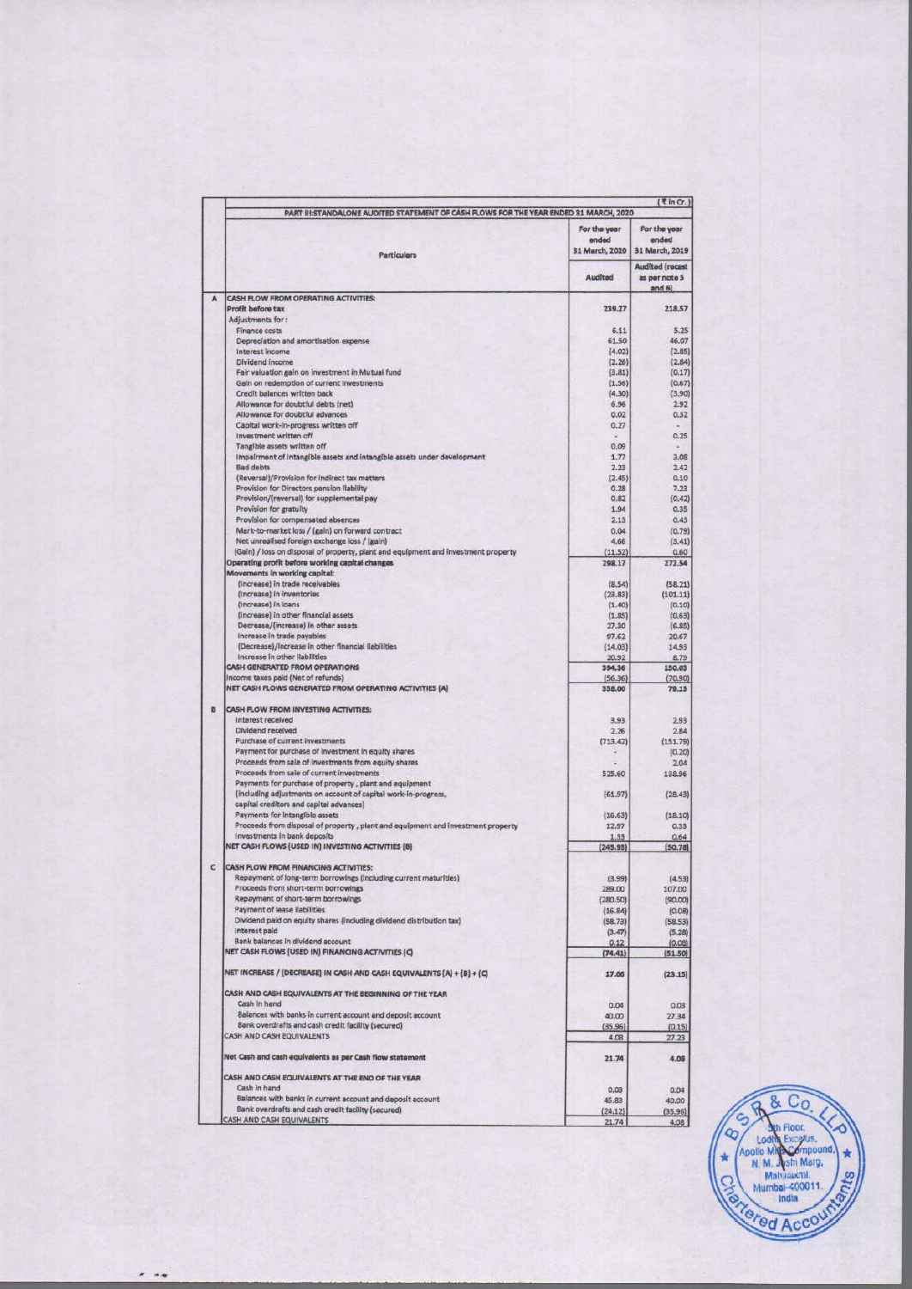|   | PART III:STANDALONE AUDITED STATEMENT OF CASH FLOWS FOR THE YEAR ENDED 31 MARCH, 2020                     |                                         |                                                    |  |  |  |
|---|-----------------------------------------------------------------------------------------------------------|-----------------------------------------|----------------------------------------------------|--|--|--|
|   | Particulars                                                                                               | For the year<br>ended<br>31 March, 2020 | For the year<br>ended<br>31 March, 2019            |  |  |  |
|   |                                                                                                           | Audited                                 | <b>Audited (recast</b><br>as per note 5<br>and $6$ |  |  |  |
| A | CASH FLOW FROM OPERATING ACTIVITIES:                                                                      |                                         |                                                    |  |  |  |
|   | Profit before tax                                                                                         | 239.27                                  | 218.57                                             |  |  |  |
|   | Adjustments for:<br>Finance costs                                                                         | 6.11                                    | 5.25                                               |  |  |  |
|   | Depreciation and amortisation expense                                                                     | 61.50                                   | 46.07                                              |  |  |  |
|   | Interest income                                                                                           | (4.02)                                  | (2.85)                                             |  |  |  |
|   | Dividend income                                                                                           | (2.26)                                  | (2.84)                                             |  |  |  |
|   | Fair valuation gain on investment in Mutual fund                                                          | (3.81)                                  | (0.17)                                             |  |  |  |
|   | Gain on redemption of current investments                                                                 | (1.56)                                  | (0.67)                                             |  |  |  |
|   | Credit balances written back                                                                              | (4.30)                                  | (3.90)                                             |  |  |  |
|   | Allowance for doubtful debts (net)<br>Allowance for doubtful advances                                     | 6.96<br>0.02                            | 2.92<br>0,32                                       |  |  |  |
|   | Capital work-in-progress written off                                                                      | 0.27                                    |                                                    |  |  |  |
|   | Investment written off                                                                                    |                                         | 0.25                                               |  |  |  |
|   | Tangible assets written off                                                                               | 0.09                                    |                                                    |  |  |  |
|   | Impairment of Intangible assets and intangible assets under development                                   | 1.77                                    | 3.08                                               |  |  |  |
|   | <b>Bad debts</b>                                                                                          | 2.23                                    | 2.42                                               |  |  |  |
|   | (Reversal)/Provision for indirect tax matters                                                             | (2.45)                                  | 0.10                                               |  |  |  |
|   | Provision for Directors pension liability                                                                 | 0.28                                    | 7.23                                               |  |  |  |
|   | Provision/(reversal) for supplemental pay                                                                 | 0.82                                    | (0, 42)                                            |  |  |  |
|   | Provision for gratuity                                                                                    | 1.94                                    | 0.35                                               |  |  |  |
|   | Provision for compensated absences                                                                        | 2.13                                    | 0.43                                               |  |  |  |
|   | Mark-to-market loss / (gain) on forward contract<br>Net unrealised foreign exchange loss / (gain)         | 0.04<br>4.66                            | (0.79)<br>(3.41)                                   |  |  |  |
|   | (Gain) / loss on disposal of property, plant and equipment and investment property                        | (11.52)                                 | 0.60                                               |  |  |  |
|   | Operating profit before working capital changes                                                           | 298.17                                  | 272.54                                             |  |  |  |
|   | Movements in working capital:                                                                             |                                         |                                                    |  |  |  |
|   | (increase) in trade receivables                                                                           | (8.54)                                  | (58.21)                                            |  |  |  |
|   | (Increase) in inventories                                                                                 | (23.83)                                 | (101.11)                                           |  |  |  |
|   | (Increase) In Ioans                                                                                       | (1, 40)                                 | (0.10)                                             |  |  |  |
|   | (increase) in other financial assets                                                                      | (1.85)                                  | (0.63)                                             |  |  |  |
|   | Decrease/(increase) in other assets                                                                       | 27.30                                   | (6.85)                                             |  |  |  |
|   | Increase in trade payables                                                                                | 97.62                                   | 20.67                                              |  |  |  |
|   | (Decrease)/Increase in other financial liabilities                                                        | (14.03)                                 | 14.93                                              |  |  |  |
|   | Increase in other liabilities<br><b>CASH GENERATED FROM OPERATIONS</b>                                    | 20.92                                   | 8.79                                               |  |  |  |
|   | Income taxes paid (Net of refunds)                                                                        | 394.36<br>(56.36)                       | 150.03<br>(70.90)                                  |  |  |  |
|   | NET CASH FLOWS GENERATED FROM OPERATING ACTIVITIES (A)                                                    | 338.00                                  | 79.13                                              |  |  |  |
|   |                                                                                                           |                                         |                                                    |  |  |  |
| B | CASH FLOW FROM INVESTING ACTIVITIES:                                                                      |                                         |                                                    |  |  |  |
|   | Interest received                                                                                         | 3.93                                    | 2.93                                               |  |  |  |
|   | Dividend received                                                                                         | 2.26                                    | 2.84                                               |  |  |  |
|   | Purchase of current investments                                                                           | (713.42)                                | (151.79)                                           |  |  |  |
|   | Payment for purchase of investment in equity shares                                                       |                                         | (0.20)                                             |  |  |  |
|   | Proceeds from sale of investments from equity shares                                                      |                                         | 2.04                                               |  |  |  |
|   | Proceeds from sale of current investments                                                                 | 525.60                                  | 138.96                                             |  |  |  |
|   | Payments for purchase of property, plant and equipment                                                    |                                         |                                                    |  |  |  |
|   | (including adjustments on account of capital work-in-progress,<br>capital creditors and capital advances) | (61.97)                                 | (28.43)                                            |  |  |  |
|   | Payments for intangible assets                                                                            | (16.63)                                 | (18.10)                                            |  |  |  |
|   | Proceeds from disposal of property, plant and equipment and investment property                           | 12.97                                   | 0.33                                               |  |  |  |
|   | Investments in bank deposits                                                                              | 1.33                                    | 0.64                                               |  |  |  |
|   | NET CASH FLOWS (USED IN) INVESTING ACTIVITIES (B)                                                         | (245.93)                                | (50.78)                                            |  |  |  |
|   |                                                                                                           |                                         |                                                    |  |  |  |
| c | <b>CASH FLOW FROM FINANCING ACTIVITIES:</b>                                                               |                                         |                                                    |  |  |  |
|   | Repayment of long-term borrowings (including current maturities)                                          | (3.99)                                  | (4.53)                                             |  |  |  |
|   | Proceeds from short-term borrowings                                                                       | 289.00                                  | 107.00                                             |  |  |  |
|   | Repayment of short-term borrowings                                                                        | (280.50)                                | (90.00)                                            |  |  |  |
|   | Payment of lease liabilities                                                                              | (16.84)                                 | (0.08)                                             |  |  |  |
|   | Dividend paid on equity shares (including dividend distribution tax)<br>Interest paid                     | (58.73)                                 | (58.53)                                            |  |  |  |
|   | Bank balances in dividend account                                                                         | (3.47)                                  | (5.28)                                             |  |  |  |
|   | NET CASH FLOWS (USED IN) FINANCING ACTIVITIES (C)                                                         | 0.12<br>(74.41)                         | (0.08)<br>(51.50)                                  |  |  |  |
|   |                                                                                                           |                                         |                                                    |  |  |  |
|   | NET INCREASE / (DECREASE) IN CASH AND CASH EQUIVALENTS (A) + (B) + (C)                                    | 17.66                                   | (23.15)                                            |  |  |  |
|   | CASH AND CASH EQUIVALENTS AT THE BEGINNING OF THE YEAR                                                    |                                         |                                                    |  |  |  |
|   | Cash in hand                                                                                              | 0.04                                    | 0.03                                               |  |  |  |
|   | Balances with banks in current account and deposit account                                                | 40.00                                   | 27.34                                              |  |  |  |
|   | Bank overdrafts and cash credit facility (secured)                                                        | (35.96)                                 | (0.15)                                             |  |  |  |
|   | CASH AND CASH EQUIVALENTS                                                                                 | 4.08                                    | 27.23                                              |  |  |  |
|   | Net Cash and cash equivalents as per Cash flow statement                                                  | 21.74                                   | 4.08                                               |  |  |  |
|   | CASH AND CASH EQUIVALENTS AT THE END OF THE YEAR                                                          |                                         |                                                    |  |  |  |
|   | Cash in hand                                                                                              | 0.03                                    | 0.04                                               |  |  |  |
|   | Balances with banks in current account and deposit account                                                | 45.83                                   | 40.00                                              |  |  |  |
|   | Bank overdrafts and cash credit facility (secured)                                                        | (24.12)                                 | (35, 96)                                           |  |  |  |
|   | CASH AND CASH EQUIVALENTS                                                                                 | 21.74                                   | 4.08                                               |  |  |  |